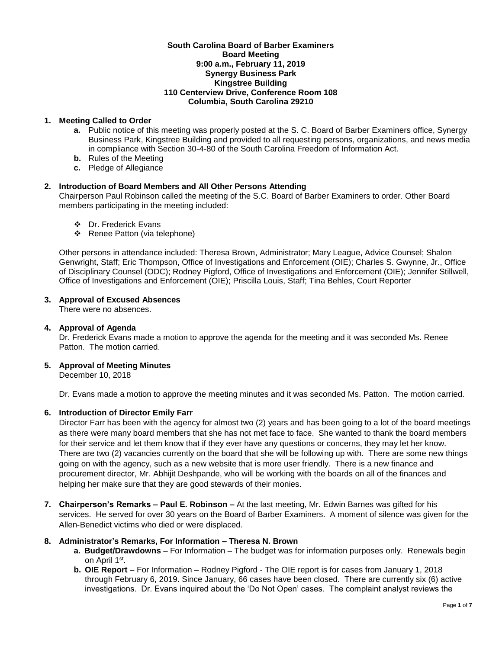#### **South Carolina Board of Barber Examiners Board Meeting 9:00 a.m., February 11, 2019 Synergy Business Park Kingstree Building 110 Centerview Drive, Conference Room 108 Columbia, South Carolina 29210**

## **1. Meeting Called to Order**

- **a.** Public notice of this meeting was properly posted at the S. C. Board of Barber Examiners office, Synergy Business Park, Kingstree Building and provided to all requesting persons, organizations, and news media in compliance with Section 30-4-80 of the South Carolina Freedom of Information Act.
- **b.** Rules of the Meeting
- **c.** Pledge of Allegiance

## **2. Introduction of Board Members and All Other Persons Attending**

Chairperson Paul Robinson called the meeting of the S.C. Board of Barber Examiners to order. Other Board members participating in the meeting included:

- Dr. Frederick Evans
- ❖ Renee Patton (via telephone)

Other persons in attendance included: Theresa Brown, Administrator; Mary League, Advice Counsel; Shalon Genwright, Staff; Eric Thompson, Office of Investigations and Enforcement (OIE); Charles S. Gwynne, Jr., Office of Disciplinary Counsel (ODC); Rodney Pigford, Office of Investigations and Enforcement (OIE); Jennifer Stillwell, Office of Investigations and Enforcement (OIE); Priscilla Louis, Staff; Tina Behles, Court Reporter

## **3. Approval of Excused Absences**

There were no absences.

### **4. Approval of Agenda**

Dr. Frederick Evans made a motion to approve the agenda for the meeting and it was seconded Ms. Renee Patton. The motion carried.

## **5. Approval of Meeting Minutes**

December 10, 2018

Dr. Evans made a motion to approve the meeting minutes and it was seconded Ms. Patton. The motion carried.

### **6. Introduction of Director Emily Farr**

Director Farr has been with the agency for almost two (2) years and has been going to a lot of the board meetings as there were many board members that she has not met face to face. She wanted to thank the board members for their service and let them know that if they ever have any questions or concerns, they may let her know. There are two (2) vacancies currently on the board that she will be following up with. There are some new things going on with the agency, such as a new website that is more user friendly. There is a new finance and procurement director, Mr. Abhijit Deshpande, who will be working with the boards on all of the finances and helping her make sure that they are good stewards of their monies.

**7. Chairperson's Remarks – Paul E. Robinson –** At the last meeting, Mr. Edwin Barnes was gifted for his services. He served for over 30 years on the Board of Barber Examiners. A moment of silence was given for the Allen-Benedict victims who died or were displaced.

### **8. Administrator's Remarks, For Information – Theresa N. Brown**

- **a. Budget/Drawdowns** For Information The budget was for information purposes only. Renewals begin on April 1<sup>st</sup>.
- **b. OIE Report**  For Information Rodney Pigford The OIE report is for cases from January 1, 2018 through February 6, 2019. Since January, 66 cases have been closed. There are currently six (6) active investigations. Dr. Evans inquired about the 'Do Not Open' cases. The complaint analyst reviews the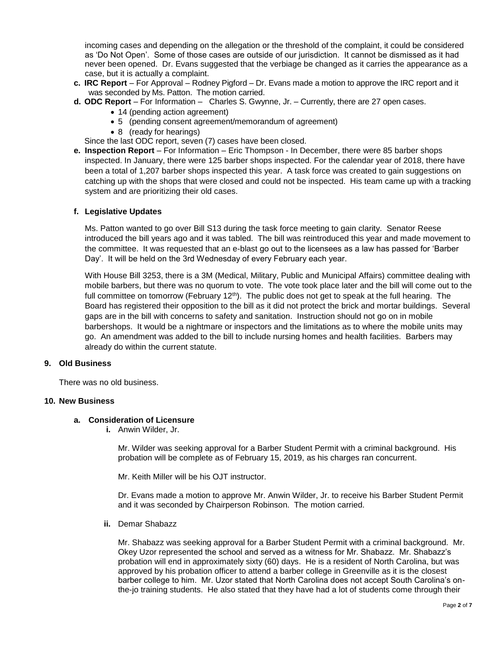incoming cases and depending on the allegation or the threshold of the complaint, it could be considered as 'Do Not Open'. Some of those cases are outside of our jurisdiction. It cannot be dismissed as it had never been opened. Dr. Evans suggested that the verbiage be changed as it carries the appearance as a case, but it is actually a complaint.

- **c. IRC Report**  For Approval Rodney Pigford Dr. Evans made a motion to approve the IRC report and it was seconded by Ms. Patton. The motion carried.
- **d. ODC Report**  For Information Charles S. Gwynne, Jr. Currently, there are 27 open cases.
	- 14 (pending action agreement)
	- 5 (pending consent agreement/memorandum of agreement)
	- 8 (ready for hearings)

Since the last ODC report, seven (7) cases have been closed.

**e. Inspection Report** – For Information – Eric Thompson - In December, there were 85 barber shops inspected. In January, there were 125 barber shops inspected. For the calendar year of 2018, there have been a total of 1,207 barber shops inspected this year. A task force was created to gain suggestions on catching up with the shops that were closed and could not be inspected. His team came up with a tracking system and are prioritizing their old cases.

### **f. Legislative Updates**

Ms. Patton wanted to go over Bill S13 during the task force meeting to gain clarity. Senator Reese introduced the bill years ago and it was tabled. The bill was reintroduced this year and made movement to the committee. It was requested that an e-blast go out to the licensees as a law has passed for 'Barber Day'. It will be held on the 3rd Wednesday of every February each year.

With House Bill 3253, there is a 3M (Medical, Military, Public and Municipal Affairs) committee dealing with mobile barbers, but there was no quorum to vote. The vote took place later and the bill will come out to the full committee on tomorrow (February 12<sup>th</sup>). The public does not get to speak at the full hearing. The Board has registered their opposition to the bill as it did not protect the brick and mortar buildings. Several gaps are in the bill with concerns to safety and sanitation. Instruction should not go on in mobile barbershops. It would be a nightmare or inspectors and the limitations as to where the mobile units may go. An amendment was added to the bill to include nursing homes and health facilities. Barbers may already do within the current statute.

### **9. Old Business**

There was no old business.

## **10. New Business**

#### **a. Consideration of Licensure**

**i.** Anwin Wilder, Jr.

Mr. Wilder was seeking approval for a Barber Student Permit with a criminal background. His probation will be complete as of February 15, 2019, as his charges ran concurrent.

Mr. Keith Miller will be his OJT instructor.

Dr. Evans made a motion to approve Mr. Anwin Wilder, Jr. to receive his Barber Student Permit and it was seconded by Chairperson Robinson. The motion carried.

**ii.** Demar Shabazz

Mr. Shabazz was seeking approval for a Barber Student Permit with a criminal background. Mr. Okey Uzor represented the school and served as a witness for Mr. Shabazz. Mr. Shabazz's probation will end in approximately sixty (60) days. He is a resident of North Carolina, but was approved by his probation officer to attend a barber college in Greenville as it is the closest barber college to him. Mr. Uzor stated that North Carolina does not accept South Carolina's onthe-jo training students. He also stated that they have had a lot of students come through their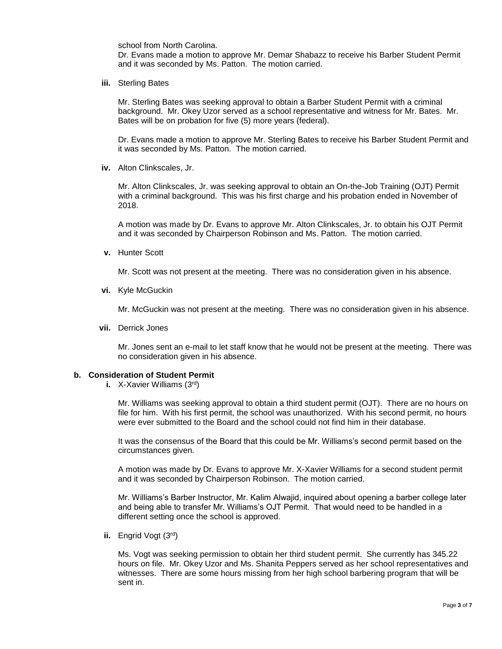school from North Carolina.

Dr. Evans made a motion to approve Mr. Demar Shabazz to receive his Barber Student Permit and it was seconded by Ms. Patton. The motion carried.

**iii.** Sterling Bates

Mr. Sterling Bates was seeking approval to obtain a Barber Student Permit with a criminal background. Mr. Okey Uzor served as a school representative and witness for Mr. Bates. Mr. Bates will be on probation for five (5) more years (federal).

Dr. Evans made a motion to approve Mr. Sterling Bates to receive his Barber Student Permit and it was seconded by Ms. Patton. The motion carried.

**iv.** Alton Clinkscales, Jr.

Mr. Alton Clinkscales, Jr. was seeking approval to obtain an On-the-Job Training (OJT) Permit with a criminal background. This was his first charge and his probation ended in November of 2018.

A motion was made by Dr. Evans to approve Mr. Alton Clinkscales, Jr. to obtain his OJT Permit and it was seconded by Chairperson Robinson and Ms. Patton. The motion carried.

**v.** Hunter Scott

Mr. Scott was not present at the meeting. There was no consideration given in his absence.

**vi.** Kyle McGuckin

Mr. McGuckin was not present at the meeting. There was no consideration given in his absence.

**vii.** Derrick Jones

Mr. Jones sent an e-mail to let staff know that he would not be present at the meeting. There was no consideration given in his absence.

### **b. Consideration of Student Permit**

**i.** X-Xavier Williams (3rd)

Mr. Williams was seeking approval to obtain a third student permit (OJT). There are no hours on file for him. With his first permit, the school was unauthorized. With his second permit, no hours were ever submitted to the Board and the school could not find him in their database.

It was the consensus of the Board that this could be Mr. Williams's second permit based on the circumstances given.

A motion was made by Dr. Evans to approve Mr. X-Xavier Williams for a second student permit and it was seconded by Chairperson Robinson. The motion carried.

Mr. Williams's Barber Instructor, Mr. Kalim Alwajid, inquired about opening a barber college later and being able to transfer Mr. Williams's OJT Permit. That would need to be handled in a different setting once the school is approved.

**ii.** Engrid Vogt (3rd)

Ms. Vogt was seeking permission to obtain her third student permit. She currently has 345.22 hours on file. Mr. Okey Uzor and Ms. Shanita Peppers served as her school representatives and witnesses. There are some hours missing from her high school barbering program that will be sent in.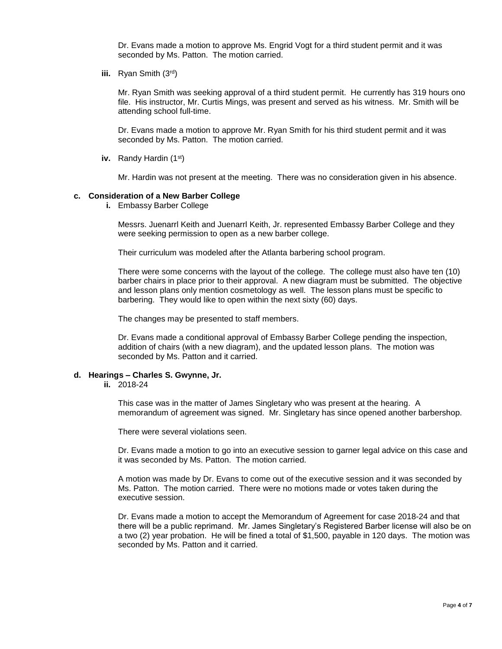Dr. Evans made a motion to approve Ms. Engrid Vogt for a third student permit and it was seconded by Ms. Patton. The motion carried.

**iii.** Ryan Smith (3rd)

Mr. Ryan Smith was seeking approval of a third student permit. He currently has 319 hours ono file. His instructor, Mr. Curtis Mings, was present and served as his witness. Mr. Smith will be attending school full-time.

Dr. Evans made a motion to approve Mr. Ryan Smith for his third student permit and it was seconded by Ms. Patton. The motion carried.

**iv.** Randy Hardin (1st)

Mr. Hardin was not present at the meeting. There was no consideration given in his absence.

#### **c. Consideration of a New Barber College**

**i.** Embassy Barber College

Messrs. Juenarrl Keith and Juenarrl Keith, Jr. represented Embassy Barber College and they were seeking permission to open as a new barber college.

Their curriculum was modeled after the Atlanta barbering school program.

There were some concerns with the layout of the college. The college must also have ten (10) barber chairs in place prior to their approval. A new diagram must be submitted. The objective and lesson plans only mention cosmetology as well. The lesson plans must be specific to barbering. They would like to open within the next sixty (60) days.

The changes may be presented to staff members.

Dr. Evans made a conditional approval of Embassy Barber College pending the inspection, addition of chairs (with a new diagram), and the updated lesson plans. The motion was seconded by Ms. Patton and it carried.

#### **d. Hearings – Charles S. Gwynne, Jr.**

**ii.** 2018-24

This case was in the matter of James Singletary who was present at the hearing. A memorandum of agreement was signed. Mr. Singletary has since opened another barbershop.

There were several violations seen.

Dr. Evans made a motion to go into an executive session to garner legal advice on this case and it was seconded by Ms. Patton. The motion carried.

A motion was made by Dr. Evans to come out of the executive session and it was seconded by Ms. Patton. The motion carried. There were no motions made or votes taken during the executive session.

Dr. Evans made a motion to accept the Memorandum of Agreement for case 2018-24 and that there will be a public reprimand. Mr. James Singletary's Registered Barber license will also be on a two (2) year probation. He will be fined a total of \$1,500, payable in 120 days. The motion was seconded by Ms. Patton and it carried.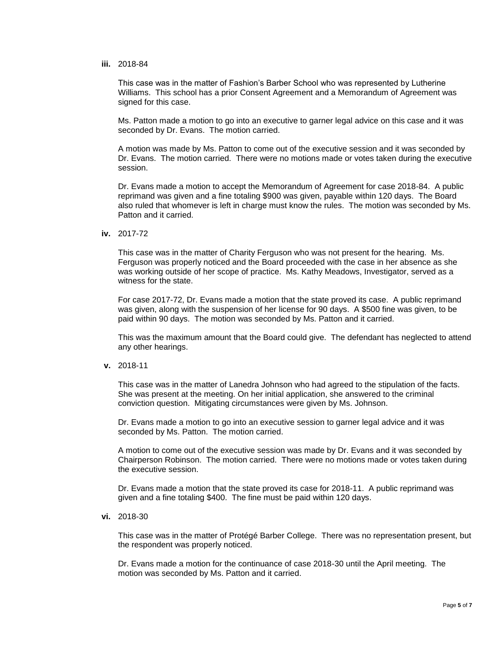**iii.** 2018-84

This case was in the matter of Fashion's Barber School who was represented by Lutherine Williams. This school has a prior Consent Agreement and a Memorandum of Agreement was signed for this case.

Ms. Patton made a motion to go into an executive to garner legal advice on this case and it was seconded by Dr. Evans. The motion carried.

A motion was made by Ms. Patton to come out of the executive session and it was seconded by Dr. Evans. The motion carried. There were no motions made or votes taken during the executive session.

Dr. Evans made a motion to accept the Memorandum of Agreement for case 2018-84. A public reprimand was given and a fine totaling \$900 was given, payable within 120 days. The Board also ruled that whomever is left in charge must know the rules. The motion was seconded by Ms. Patton and it carried.

**iv.** 2017-72

This case was in the matter of Charity Ferguson who was not present for the hearing. Ms. Ferguson was properly noticed and the Board proceeded with the case in her absence as she was working outside of her scope of practice. Ms. Kathy Meadows, Investigator, served as a witness for the state.

For case 2017-72, Dr. Evans made a motion that the state proved its case. A public reprimand was given, along with the suspension of her license for 90 days. A \$500 fine was given, to be paid within 90 days. The motion was seconded by Ms. Patton and it carried.

This was the maximum amount that the Board could give. The defendant has neglected to attend any other hearings.

**v.** 2018-11

This case was in the matter of Lanedra Johnson who had agreed to the stipulation of the facts. She was present at the meeting. On her initial application, she answered to the criminal conviction question. Mitigating circumstances were given by Ms. Johnson.

Dr. Evans made a motion to go into an executive session to garner legal advice and it was seconded by Ms. Patton. The motion carried.

A motion to come out of the executive session was made by Dr. Evans and it was seconded by Chairperson Robinson. The motion carried. There were no motions made or votes taken during the executive session.

Dr. Evans made a motion that the state proved its case for 2018-11. A public reprimand was given and a fine totaling \$400. The fine must be paid within 120 days.

**vi.** 2018-30

This case was in the matter of Protégé Barber College. There was no representation present, but the respondent was properly noticed.

Dr. Evans made a motion for the continuance of case 2018-30 until the April meeting. The motion was seconded by Ms. Patton and it carried.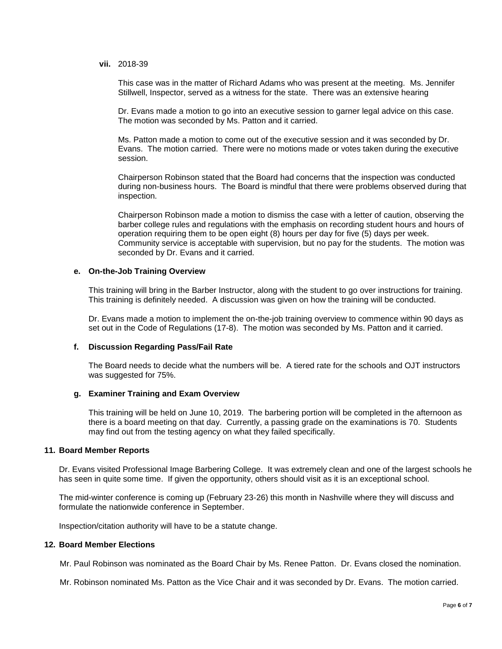**vii.** 2018-39

This case was in the matter of Richard Adams who was present at the meeting. Ms. Jennifer Stillwell, Inspector, served as a witness for the state. There was an extensive hearing

Dr. Evans made a motion to go into an executive session to garner legal advice on this case. The motion was seconded by Ms. Patton and it carried.

Ms. Patton made a motion to come out of the executive session and it was seconded by Dr. Evans. The motion carried. There were no motions made or votes taken during the executive session.

Chairperson Robinson stated that the Board had concerns that the inspection was conducted during non-business hours. The Board is mindful that there were problems observed during that inspection.

Chairperson Robinson made a motion to dismiss the case with a letter of caution, observing the barber college rules and regulations with the emphasis on recording student hours and hours of operation requiring them to be open eight (8) hours per day for five (5) days per week. Community service is acceptable with supervision, but no pay for the students. The motion was seconded by Dr. Evans and it carried.

#### **e. On-the-Job Training Overview**

This training will bring in the Barber Instructor, along with the student to go over instructions for training. This training is definitely needed. A discussion was given on how the training will be conducted.

Dr. Evans made a motion to implement the on-the-job training overview to commence within 90 days as set out in the Code of Regulations (17-8). The motion was seconded by Ms. Patton and it carried.

## **f. Discussion Regarding Pass/Fail Rate**

The Board needs to decide what the numbers will be. A tiered rate for the schools and OJT instructors was suggested for 75%.

#### **g. Examiner Training and Exam Overview**

This training will be held on June 10, 2019. The barbering portion will be completed in the afternoon as there is a board meeting on that day. Currently, a passing grade on the examinations is 70. Students may find out from the testing agency on what they failed specifically.

#### **11. Board Member Reports**

Dr. Evans visited Professional Image Barbering College. It was extremely clean and one of the largest schools he has seen in quite some time. If given the opportunity, others should visit as it is an exceptional school.

The mid-winter conference is coming up (February 23-26) this month in Nashville where they will discuss and formulate the nationwide conference in September.

Inspection/citation authority will have to be a statute change.

#### **12. Board Member Elections**

Mr. Paul Robinson was nominated as the Board Chair by Ms. Renee Patton. Dr. Evans closed the nomination.

Mr. Robinson nominated Ms. Patton as the Vice Chair and it was seconded by Dr. Evans. The motion carried.